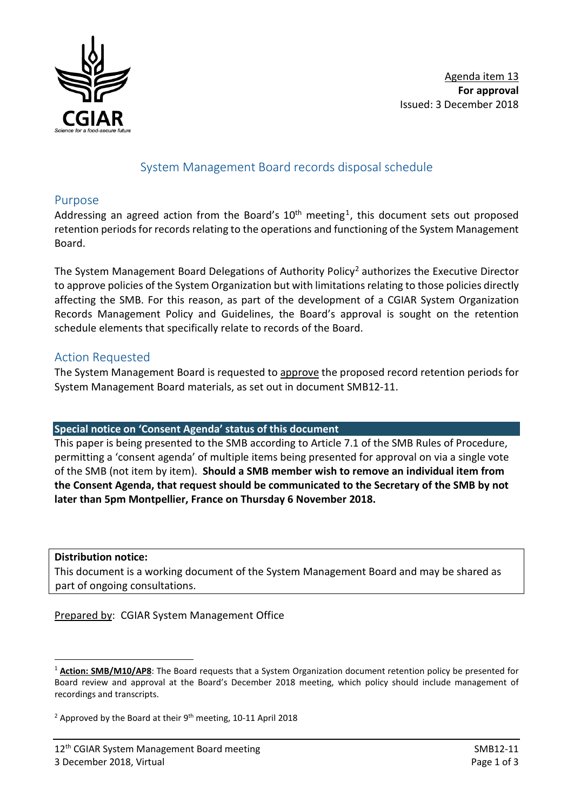

## System Management Board records disposal schedule

#### Purpose

Addressing an agreed action from the Board's  $10<sup>th</sup>$  $10<sup>th</sup>$  meeting<sup>1</sup>, this document sets out proposed retention periods for records relating to the operations and functioning of the System Management Board.

The System Management Board Delegations of Authority Policy<sup>[2](#page-0-1)</sup> authorizes the Executive Director to approve policies of the System Organization but with limitations relating to those policies directly affecting the SMB. For this reason, as part of the development of a CGIAR System Organization Records Management Policy and Guidelines, the Board's approval is sought on the retention schedule elements that specifically relate to records of the Board.

### Action Requested

The System Management Board is requested to approve the proposed record retention periods for System Management Board materials, as set out in document SMB12-11.

#### **Special notice on 'Consent Agenda' status of this document**

This paper is being presented to the SMB according to Article 7.1 of the SMB Rules of Procedure, permitting a 'consent agenda' of multiple items being presented for approval on via a single vote of the SMB (not item by item). **Should a SMB member wish to remove an individual item from the Consent Agenda, that request should be communicated to the Secretary of the SMB by not later than 5pm Montpellier, France on Thursday 6 November 2018.**

**Distribution notice:**

This document is a working document of the System Management Board and may be shared as part of ongoing consultations.

Prepared by: CGIAR System Management Office

<span id="page-0-0"></span><sup>&</sup>lt;u>.</u> <sup>1</sup> **Action: SMB/M10/AP8**: The Board requests that a System Organization document retention policy be presented for Board review and approval at the Board's December 2018 meeting, which policy should include management of recordings and transcripts.

<span id="page-0-1"></span><sup>&</sup>lt;sup>2</sup> Approved by the Board at their  $9<sup>th</sup>$  meeting, 10-11 April 2018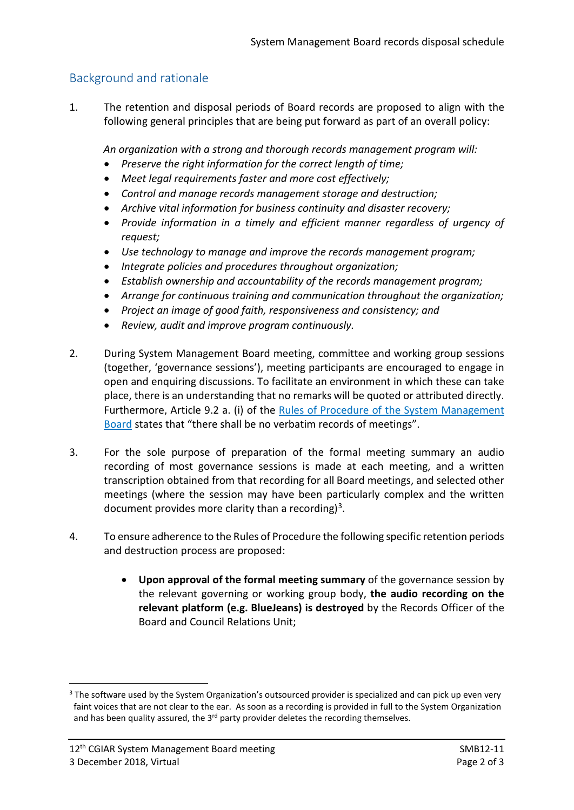# Background and rationale

1. The retention and disposal periods of Board records are proposed to align with the following general principles that are being put forward as part of an overall policy:

*An organization with a strong and thorough records management program will:*

- *Preserve the right information for the correct length of time;*
- *Meet legal requirements faster and more cost effectively;*
- *Control and manage records management storage and destruction;*
- *Archive vital information for business continuity and disaster recovery;*
- *Provide information in a timely and efficient manner regardless of urgency of request;*
- *Use technology to manage and improve the records management program;*
- *Integrate policies and procedures throughout organization;*
- *Establish ownership and accountability of the records management program;*
- *Arrange for continuous training and communication throughout the organization;*
- *Project an image of good faith, responsiveness and consistency; and*
- *Review, audit and improve program continuously.*
- 2. During System Management Board meeting, committee and working group sessions (together, 'governance sessions'), meeting participants are encouraged to engage in open and enquiring discussions. To facilitate an environment in which these can take place, there is an understanding that no remarks will be quoted or attributed directly. Furthermore, Article 9.2 a. (i) of the Rules of Procedure of the System [Management](https://cgspace.cgiar.org/bitstream/handle/10947/4417/CGIAR_SMB-Rules-of-Procedure.pdf?sequence=6&isAllowed=y) [Board](https://cgspace.cgiar.org/bitstream/handle/10947/4417/CGIAR_SMB-Rules-of-Procedure.pdf?sequence=6&isAllowed=y) states that "there shall be no verbatim records of meetings".
- 3. For the sole purpose of preparation of the formal meeting summary an audio recording of most governance sessions is made at each meeting, and a written transcription obtained from that recording for all Board meetings, and selected other meetings (where the session may have been particularly complex and the written document provides more clarity than a recording)<sup>[3](#page-1-0)</sup>.
- 4. To ensure adherence to the Rules of Procedure the following specific retention periods and destruction process are proposed:
	- **Upon approval of the formal meeting summary** of the governance session by the relevant governing or working group body, **the audio recording on the relevant platform (e.g. BlueJeans) is destroyed** by the Records Officer of the Board and Council Relations Unit;

-

<span id="page-1-0"></span><sup>&</sup>lt;sup>3</sup> The software used by the System Organization's outsourced provider is specialized and can pick up even very faint voices that are not clear to the ear. As soon as a recording is provided in full to the System Organization and has been quality assured, the  $3<sup>rd</sup>$  party provider deletes the recording themselves.